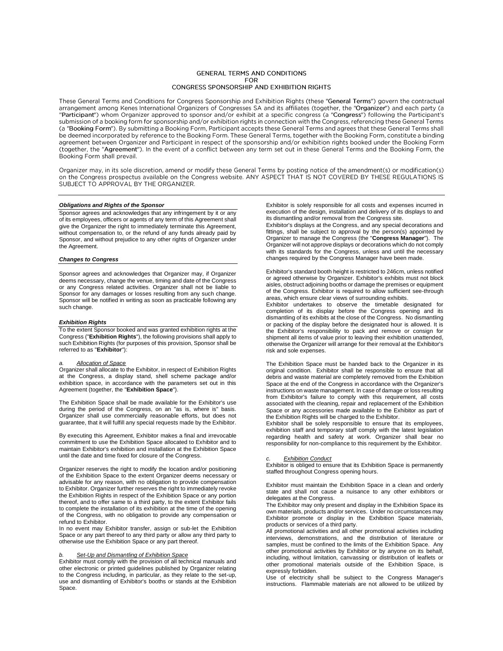## **GENERAL TERMS AND CONDITIONS** FOR CONGRESS SPONSORSHIP AND EXHIBITION RIGHTS

These General Terms and Conditions for Congress Sponsorship and Exhibition Rights (these "General Terms") govern the contractual arrangement among Kenes International Organizers of Congresses SA and its affiliates (together, the "Organizer") and each party (a "Participant") whom Organizer approved to sponsor and/or exhibit at a specific congress (a "Congress") following the Participant's submission of a booking form for sponsorship and/or exhibition rights in connection with the Congress, referencing these General Terms (a "Booking Form"). By submitting a Booking Form, Participant accepts these General Terms and agrees that these General Terms shall be deemed incorporated by reference to the Booking Form. These General Terms, together with the Booking Form, constitute a binding agreement between Organizer and Participant in respect of the sponsorship and/or exhibition rights booked under the Booking Form (together, the "Agreement"). In the event of a conflict between any term set out in these General Terms and the Booking Form, the Booking Form shall prevail.

Organizer may, in its sole discretion, amend or modify these General Terms by posting notice of the amendment(s) or modification(s) on the Congress prospectus available on the Congress website. ANY ASPECT THAT IS NOT COVER

# *Obligations and Rights of the Sponsor*

Sponsor agrees and acknowledges that any infringement by it or any of its employees, officers or agents of any term of this Agreement shall give the Organizer the right to immediately terminate this Agreement, without compensation to, or the refund of any funds already paid by Sponsor, and without prejudice to any other rights of Organizer under the Agreement.

## *Changes to Congress*

Sponsor agrees and acknowledges that Organizer may, if Organizer deems necessary, change the venue, timing and date of the Congress or any Congress related activities. Organizer shall not be liable to Sponsor for any damages or losses resulting from any such change. Sponsor will be notified in writing as soon as practicable following any such change.

## *Exhibition Rights*

To the extent Sponsor booked and was granted exhibition rights at the Congress ("**Exhibition Rights**"), the following provisions shall apply to such Exhibition Rights (for purposes of this provision, Sponsor shall be referred to as "**Exhibitor**"):

*a. Allocation of Space* Organizer shall allocate to the Exhibitor, in respect of Exhibition Rights at the Congress, a display stand, shell scheme package and/or exhibition space, in accordance with the parameters set out in this Agreement (together, the "**Exhibition Space**").

The Exhibition Space shall be made available for the Exhibitor's use during the period of the Congress, on an "as is, where is" basis. Organizer shall use commercially reasonable efforts, but does not guarantee, that it will fulfill any special requests made by the Exhibitor.

By executing this Agreement, Exhibitor makes a final and irrevocable commitment to use the Exhibition Space allocated to Exhibitor and to maintain Exhibitor's exhibition and installation at the Exhibition Space until the date and time fixed for closure of the Congress.

Organizer reserves the right to modify the location and/or positioning of the Exhibition Space to the extent Organizer deems necessary or advisable for any reason, with no obligation to provide compensation to Exhibitor. Organizer further reserves the right to immediately revoke the Exhibition Rights in respect of the Exhibition Space or any portion thereof, and to offer same to a third party, to the extent Exhibitor fails to complete the installation of its exhibition at the time of the opening of the Congress, with no obligation to provide any compensation or refund to Exhibitor.

In no event may Exhibitor transfer, assign or sub-let the Exhibition Space or any part thereof to any third party or allow any third party to otherwise use the Exhibition Space or any part thereof.

## *b. Set-Up and Dismantling of Exhibition Space*

Exhibitor must comply with the provision of all technical manuals and other electronic or printed guidelines published by Organizer relating to the Congress including, in particular, as they relate to the set-up, use and dismantling of Exhibitor's booths or stands at the Exhibition Space.

Exhibitor is solely responsible for all costs and expenses incurred in execution of the design, installation and delivery of its displays to and its dismantling and/or removal from the Congress site.

Exhibitor's displays at the Congress, and any special decorations and fittings, shall be subject to approval by the person(s) appointed by Organizer to manage the Congress (the "**Congress Manager**"). The Organizer will not approve displays or decorations which do not comply with its standards for the Congress, unless and until the necessary changes required by the Congress Manager have been made.

Exhibitor's standard booth height is restricted to 246cm, unless notified or agreed otherwise by Organizer. Exhibitor's exhibits must not block aisles, obstruct adjoining booths or damage the premises or equipment of the Congress. Exhibitor is required to allow sufficient see-through areas, which ensure clear views of surrounding exhibits.

Exhibitor undertakes to observe the timetable designated for completion of its display before the Congress opening and its dismantling of its exhibits at the close of the Congress. No dismantling or packing of the display before the designated hour is allowed. It is the Exhibitor's responsibility to pack and remove or consign for shipment all items of value prior to leaving their exhibition unattended, otherwise the Organizer will arrange for their removal at the Exhibitor's risk and sole expenses.

The Exhibition Space must be handed back to the Organizer in its original condition. Exhibitor shall be responsible to ensure that all debris and waste material are completely removed from the Exhibition Space at the end of the Congress in accordance with the Organizer's instructions on waste management. In case of damage or loss resulting from Exhibitor's failure to comply with this requirement, all costs associated with the cleaning, repair and replacement of the Exhibition Space or any accessories made available to the Exhibitor as part of the Exhibition Rights will be charged to the Exhibitor.

Exhibitor shall be solely responsible to ensure that its employees, exhibition staff and temporary staff comply with the latest legislation regarding health and safety at work. Organizer shall bear no responsibility for non-compliance to this requirement by the Exhibitor.

# **Exhibition Conduct**

Exhibitor is obliged to ensure that its Exhibition Space is permanently staffed throughout Congress opening hours.

Exhibitor must maintain the Exhibition Space in a clean and orderly state and shall not cause a nuisance to any other exhibitors or delegates at the Congress.

The Exhibitor may only present and display in the Exhibition Space its own materials, products and/or services. Under no circumstances may Exhibitor promote or display in the Exhibition Space materials, products or services of a third party.

All promotional activities and all other promotional activities including interviews, demonstrations, and the distribution of literature or samples, must be confined to the limits of the Exhibition Space. Any other promotional activities by Exhibitor or by anyone on its behalf, including, without limitation, canvassing or distribution of leaflets or other promotional materials outside of the Exhibition Space, is expressly forbidden.

Use of electricity shall be subject to the Congress Manager's instructions. Flammable materials are not allowed to be utilized by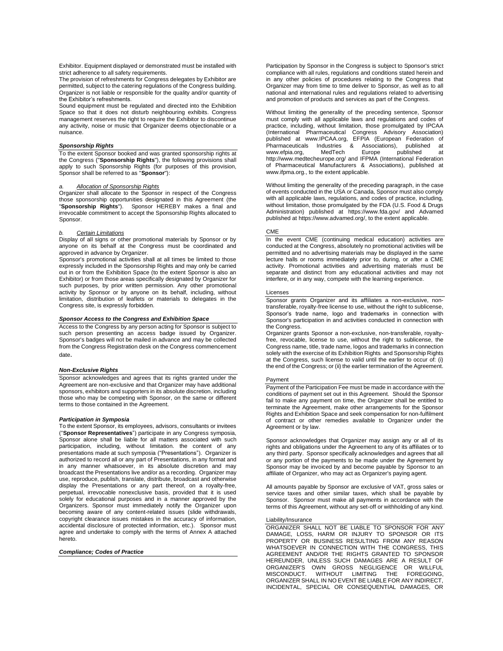Exhibitor. Equipment displayed or demonstrated must be installed with strict adherence to all safety requirements.

The provision of refreshments for Congress delegates by Exhibitor are permitted, subject to the catering regulations of the Congress building. Organizer is not liable or responsible for the quality and/or quantity of the Exhibitor's refreshments.

Sound equipment must be regulated and directed into the Exhibition Space so that it does not disturb neighbouring exhibits. Congress management reserves the right to require the Exhibitor to discontinue any activity, noise or music that Organizer deems objectionable or a nuisance.

## *Sponsorship Rights*

To the extent Sponsor booked and was granted sponsorship rights at the Congress ("**Sponsorship Rights**"), the following provisions shall apply to such Sponsorship Rights (for purposes of this provision, Sponsor shall be referred to as "**Sponsor**"):

# *a. Allocation of Sponsorship Rights*

Organizer shall allocate to the Sponsor in respect of the Congress those sponsorship opportunities designated in this Agreement (the "**Sponsorship Rights**"). Sponsor HEREBY makes a final and irrevocable commitment to accept the Sponsorship Rights allocated to Sponsor.

## *b. Certain Limitations*

Display of all signs or other promotional materials by Sponsor or by anyone on its behalf at the Congress must be coordinated and approved in advance by Organizer.

Sponsor's promotional activities shall at all times be limited to those expressly included in the Sponsorship Rights and may only be carried out in or from the Exhibition Space (to the extent Sponsor is also an Exhibitor) or from those areas specifically designated by Organizer for such purposes, by prior written permission. Any other promotional activity by Sponsor or by anyone on its behalf, including, without limitation, distribution of leaflets or materials to delegates in the Congress site, is expressly forbidden.

## *Sponsor Access to the Congress and Exhibition Space*

Access to the Congress by any person acting for Sponsor is subject to such person presenting an access badge issued by Organizer. Sponsor's badges will not be mailed in advance and may be collected from the Congress Registration desk on the Congress commencement date.

## *Non-Exclusive Rights*

Sponsor acknowledges and agrees that its rights granted under the Agreement are non-exclusive and that Organizer may have additional sponsors, exhibitors and supporters in its absolute discretion, including those who may be competing with Sponsor, on the same or different terms to those contained in the Agreement.

# *Participation in Symposia*

To the extent Sponsor, its employees, advisors, consultants or invitees ("**Sponsor Representatives**") participate in any Congress symposia, Sponsor alone shall be liable for all matters associated with such participation, including, without limitation. the content of any presentations made at such symposia ("Presentations"). Organizer is authorized to record all or any part of Presentations, in any format and in any manner whatsoever, in its absolute discretion and may broadcast the Presentations live and/or as a recording. Organizer may use, reproduce, publish, translate, distribute, broadcast and otherwise display the Presentations or any part thereof, on a royalty-free, perpetual, irrevocable nonexclusive basis, provided that it is used solely for educational purposes and in a manner approved by the Organizers. Sponsor must immediately notify the Organizer upon becoming aware of any content-related issues (slide withdrawals, copyright clearance issues mistakes in the accuracy of information, accidental disclosure of protected information, etc.). Sponsor must agree and undertake to comply with the terms of Annex A attached hereto.

## *Compliance; Codes of Practice*

Participation by Sponsor in the Congress is subject to Sponsor's strict compliance with all rules, regulations and conditions stated herein and in any other policies of procedures relating to the Congress that Organizer may from time to time deliver to Sponsor, as well as to all national and international rules and regulations related to advertising and promotion of products and services as part of the Congress.

Without limiting the generality of the preceding sentence, Sponsor must comply with all applicable laws and regulations and codes of practice, including, without limitation, those promulgated by IPCAA (International Pharmaceutical Congress Advisory Association) published at [www.IPCAA.org,](http://www.ipcaa.org/) EFPIA (European Federation of Pharmaceuticals Industries & Associations), published at [www.efpia.org,](http://www.efpia.org/) MedTech Europe published at http://www.medtecheurope.org/ and IFPMA (International Federation of Pharmaceutical Manufacturers & Associations), published at [www.ifpma.org.,](http://www.ifpma.org/) to the extent applicable.

Without limiting the generality of the preceding paragraph, in the case of events conducted in the USA or Canada, Sponsor must also comply with all applicable laws, regulations, and codes of practice, including, without limitation, those promulgated by the FDA (U.S. Food & Drugs Administration) published at <https://www.fda.gov/> and Advamed published a[t https://www.advamed.org/,](https://www.advamed.org/) to the extent applicable.

## **CM<sub>E</sub>**

In the event CME (continuing medical education) activities are conducted at the Congress, absolutely no promotional activities will be permitted and no advertising materials may be displayed in the same lecture halls or rooms immediately prior to, during, or after a CME activity. Promotional activities and advertising materials must be separate and distinct from any educational activities and may not interfere, or in any way, compete with the learning experience.

## Licenses

Sponsor grants Organizer and its affiliates a non-exclusive, nontransferable, royalty-free license to use, without the right to sublicense, Sponsor's trade name, logo and trademarks in connection with Sponsor's participation in and activities conducted in connection with the Congress.

Organizer grants Sponsor a non-exclusive, non-transferable, royaltyfree, revocable, license to use, without the right to sublicense, the Congress name, title, trade name, logos and trademarks in connection solely with the exercise of its Exhibition Rights and Sponsorship Rights at the Congress, such license to valid until the earlier to occur of: (i) the end of the Congress; or (ii) the earlier termination of the Agreement.

## Payment

Payment of the Participation Fee must be made in accordance with the conditions of payment set out in this Agreement. Should the Sponsor fail to make any payment on time, the Organizer shall be entitled to terminate the Agreement, make other arrangements for the Sponsor Rights and Exhibition Space and seek compensation for non-fulfilment of contract or other remedies available to Organizer under the Agreement or by law.

Sponsor acknowledges that Organizer may assign any or all of its rights and obligations under the Agreement to any of its affiliates or to any third party. Sponsor specifically acknowledges and agrees that all or any portion of the payments to be made under the Agreement by Sponsor may be invoiced by and become payable by Sponsor to an affiliate of Organizer, who may act as Organizer's paying agent.

All amounts payable by Sponsor are exclusive of VAT, gross sales or service taxes and other similar taxes, which shall be payable by Sponsor. Sponsor must make all payments in accordance with the terms of this Agreement, without any set-off or withholding of any kind.

## Liability/Insurance

ORGANIZER SHALL NOT BE LIABLE TO SPONSOR FOR ANY DAMAGE, LOSS, HARM OR INJURY TO SPONSOR OR ITS PROPERTY OR BUSINESS RESULTING FROM ANY REASON WHATSOEVER IN CONNECTION WITH THE CONGRESS, THIS AGREEMENT AND/OR THE RIGHTS GRANTED TO SPONSOR HEREUNDER, UNLESS SUCH DAMAGES ARE A RESULT OF ORGANIZER'S OWN GROSS NEGLIGENCE OR WILLFUL<br>MISCONDUCT. WITHOUT LIMITING THE FOREGOING, MISCONDUCT. WITHOUT LIMITING THE FOREGOING, ORGANIZER SHALL IN NO EVENT BE LIABLE FOR ANY INDIRECT, INCIDENTAL, SPECIAL OR CONSEQUENTIAL DAMAGES, OR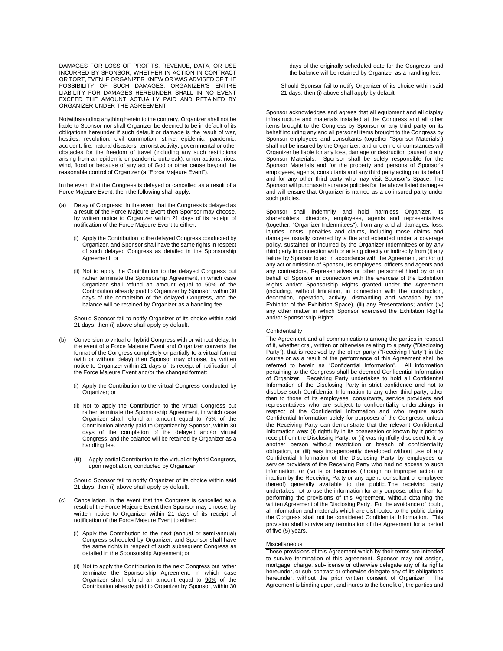DAMAGES FOR LOSS OF PROFITS, REVENUE, DATA, OR USE INCURRED BY SPONSOR, WHETHER IN ACTION IN CONTRACT OR TORT, EVEN IF ORGANIZER KNEW OR WAS ADVISED OF THE POSSIBILITY OF SUCH DAMAGES. ORGANIZER'S ENTIRE LIABILITY FOR DAMAGES HEREUNDER SHALL IN NO EVENT EXCEED THE AMOUNT ACTUALLY PAID AND RETAINED BY ORGANIZER UNDER THE AGREEMENT.

Notwithstanding anything herein to the contrary, Organizer shall not be liable to Sponsor nor shall Organizer be deemed to be in default of its obligations hereunder if such default or damage is the result of war, hostiles, revolution, civil commotion, strike, epidemic, pandemic, accident, fire, natural disasters, terrorist activity, governmental or other obstacles for the freedom of travel (including any such restrictions arising from an epidemic or pandemic outbreak), union actions, riots, wind, flood or because of any act of God or other cause beyond the reasonable control of Organizer (a "Force Majeure Event").

In the event that the Congress is delayed or cancelled as a result of a Force Majeure Event, then the following shall apply:

- (a) Delay of Congress: In the event that the Congress is delayed as a result of the Force Majeure Event then Sponsor may choose, by written notice to Organizer within 21 days of its receipt of notification of the Force Majeure Event to either:
	- (i) Apply the Contribution to the delayed Congress conducted by Organizer, and Sponsor shall have the same rights in respect of such delayed Congress as detailed in the Sponsorship Agreement; or
	- (ii) Not to apply the Contribution to the delayed Congress but rather terminate the Sponsorship Agreement, in which case Organizer shall refund an amount equal to 50% of the Contribution already paid to Organizer by Sponsor, within 30 days of the completion of the delayed Congress, and the balance will be retained by Organizer as a handling fee.

Should Sponsor fail to notify Organizer of its choice within said 21 days, then (i) above shall apply by default.

- (b) Conversion to virtual or hybrid Congress with or without delay. In the event of a Force Majeure Event and Organizer converts the format of the Congress completely or partially to a virtual format (with or without delay) then Sponsor may choose, by written notice to Organizer within 21 days of its receipt of notification of the Force Majeure Event and/or the changed format:
	- (i) Apply the Contribution to the virtual Congress conducted by Organizer; or
	- (ii) Not to apply the Contribution to the virtual Congress but rather terminate the Sponsorship Agreement, in which case Organizer shall refund an amount equal to 75% of the Contribution already paid to Organizer by Sponsor, within 30 days of the completion of the delayed and/or virtual Congress, and the balance will be retained by Organizer as a handling fee.
	- (iii) Apply partial Contribution to the virtual or hybrid Congress, upon negotiation, conducted by Organizer

Should Sponsor fail to notify Organizer of its choice within said 21 days, then (i) above shall apply by default.

- Cancellation. In the event that the Congress is cancelled as a result of the Force Majeure Event then Sponsor may choose, by written notice to Organizer within 21 days of its receipt of notification of the Force Majeure Event to either:
	- (i) Apply the Contribution to the next (annual or semi-annual) Congress scheduled by Organizer, and Sponsor shall have the same rights in respect of such subsequent Congress as detailed in the Sponsorship Agreement; or
	- (ii) Not to apply the Contribution to the next Congress but rather terminate the Sponsorship Agreement, in which case Organizer shall refund an amount equal to 90% of the Contribution already paid to Organizer by Sponsor, within 30

days of the originally scheduled date for the Congress, and the balance will be retained by Organizer as a handling fee.

Should Sponsor fail to notify Organizer of its choice within said 21 days, then (i) above shall apply by default.

Sponsor acknowledges and agrees that all equipment and all display infrastructure and materials installed at the Congress and all other items brought to the Congress by Sponsor or any third party on its behalf including any and all personal items brought to the Congress by Sponsor employees and consultants (together "Sponsor Materials") shall not be insured by the Organizer, and under no circumstances will Organizer be liable for any loss, damage or destruction caused to any Sponsor Materials. Sponsor shall be solely responsible for the Sponsor Materials and for the property and persons of Sponsor's employees, agents, consultants and any third party acting on its behalf and for any other third party who may visit Sponsor's Space. The Sponsor will purchase insurance policies for the above listed damages and will ensure that Organizer is named as a co-insured party under such policies.

Sponsor shall indemnify and hold harmless Organizer, its shareholders, directors, employees, agents and representatives (together, "Organizer Indemnitees"), from any and all damages, loss, injuries, costs, penalties and claims, including those claims and damages usually covered by a fire and extended under a coverage policy, sustained or incurred by the Organizer Indemnitees or by any third party in connection with or arising directly or indirectly from (i) any failure by Sponsor to act in accordance with the Agreement, and/or (ii) any act or omission of Sponsor, its employees, officers and agents and any contractors, Representatives or other personnel hired by or on behalf of Sponsor in connection with the exercise of the Exhibition Rights and/or Sponsorship Rights granted under the Agreement (including, without limitation, in connection with the construction, decoration, operation, activity, dismantling and vacation by the Exhibitor of the Exhibition Space), (iii) any Presentations; and/or (iv) any other matter in which Sponsor exercised the Exhibition Rights and/or Sponsorship Rights.

## **Confidentiality**

The Agreement and all communications among the parties in respect of it, whether oral, written or otherwise relating to a party ("Disclosing Party"), that is received by the other party ("Receiving Party") in the course or as a result of the performance of this Agreement shall be referred to herein as "Confidential Information". All information pertaining to the Congress shall be deemed Confidential Information of Organizer. Receiving Party undertakes to hold all Confidential Information of the Disclosing Party in strict confidence and not to disclose such Confidential Information to any other third party, other than to those of its employees, consultants, service providers and representatives who are subject to confidentiality undertakings in respect of the Confidential Information and who require such Confidential Information solely for purposes of the Congress, unless the Receiving Party can demonstrate that the relevant Confidential Information was: (i) rightfully in its possession or known by it prior to receipt from the Disclosing Party, or (ii) was rightfully disclosed to it by another person without restriction or breach of confidentiality obligation, or (iii) was independently developed without use of any Confidential Information of the Disclosing Party by employees or service providers of the Receiving Party who had no access to such information, or (iv) is or becomes (through no improper action or inaction by the Receiving Party or any agent, consultant or employee thereof) generally available to the public. The receiving party undertakes not to use the information for any purpose, other than for performing the provisions of this Agreement, without obtaining the written Agreement of the Disclosing Party. For the avoidance of doubt, all information and materials which are distributed to the public during the Congress shall not be considered Confidential Information. This provision shall survive any termination of the Agreement for a period of five (5) years.

## Miscellaneous

Those provisions of this Agreement which by their terms are intended to survive termination of this agreement. Sponsor may not assign, mortgage, charge, sub-license or otherwise delegate any of its rights hereunder, or sub-contract or otherwise delegate any of its obligations hereunder, without the prior written consent of Organizer. The Agreement is binding upon, and inures to the benefit of, the parties and